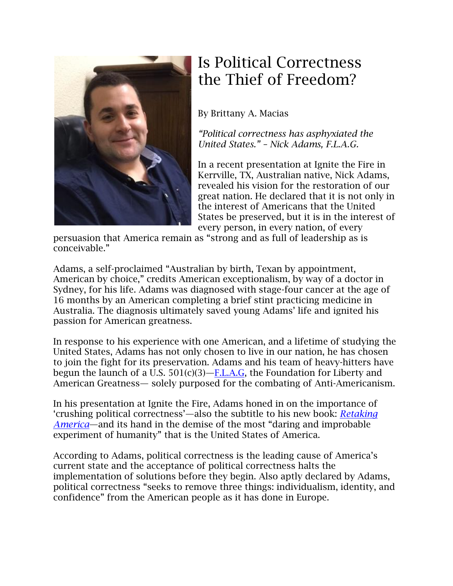

## Is Political Correctness the Thief of Freedom?

By Brittany A. Macias

*"Political correctness has asphyxiated the United States." – Nick Adams, F.L.A.G.*

In a recent presentation at Ignite the Fire in Kerrville, TX, Australian native, Nick Adams, revealed his vision for the restoration of our great nation. He declared that it is not only in the interest of Americans that the United States be preserved, but it is in the interest of every person, in every nation, of every

persuasion that America remain as "strong and as full of leadership as is conceivable."

Adams, a self-proclaimed "Australian by birth, Texan by appointment, American by choice," credits American exceptionalism, by way of a doctor in Sydney, for his life. Adams was diagnosed with stage-four cancer at the age of 16 months by an American completing a brief stint practicing medicine in Australia. The diagnosis ultimately saved young Adams' life and ignited his passion for American greatness.

In response to his experience with one American, and a lifetime of studying the United States, Adams has not only chosen to live in our nation, he has chosen to join the fight for its preservation. Adams and his team of heavy-hitters have begun the launch of a U.S.  $501(c)(3)$ —[F.L.A.G,](http://www.flagonline.net/) the Foundation for Liberty and American Greatness— solely purposed for the combating of Anti-Americanism.

In his presentation at Ignite the Fire, Adams honed in on the importance of 'crushing political correctness'—also the subtitle to his new book: *[Retaking](http://www.amazon.com/Retaking-America-Crushing-Political-Correctness/dp/1618688502)  [America](http://www.amazon.com/Retaking-America-Crushing-Political-Correctness/dp/1618688502)*—and its hand in the demise of the most "daring and improbable experiment of humanity" that is the United States of America.

According to Adams, political correctness is the leading cause of America's current state and the acceptance of political correctness halts the implementation of solutions before they begin. Also aptly declared by Adams, political correctness "seeks to remove three things: individualism, identity, and confidence" from the American people as it has done in Europe.